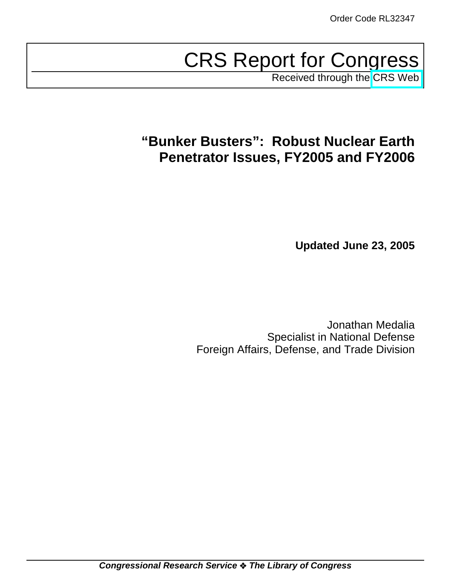# CRS Report for Congress

Received through the [CRS Web](http://www.fas.org/sgp/crs/nuke/index.html)

## **"Bunker Busters": Robust Nuclear Earth Penetrator Issues, FY2005 and FY2006**

**Updated June 23, 2005**

Jonathan Medalia Specialist in National Defense Foreign Affairs, Defense, and Trade Division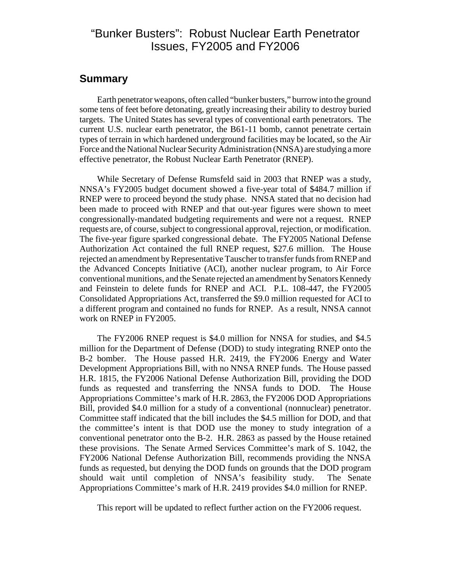## "Bunker Busters": Robust Nuclear Earth Penetrator Issues, FY2005 and FY2006

#### **Summary**

Earth penetrator weapons, often called "bunker busters," burrow into the ground some tens of feet before detonating, greatly increasing their ability to destroy buried targets. The United States has several types of conventional earth penetrators. The current U.S. nuclear earth penetrator, the B61-11 bomb, cannot penetrate certain types of terrain in which hardened underground facilities may be located, so the Air Force and the National Nuclear Security Administration (NNSA) are studying a more effective penetrator, the Robust Nuclear Earth Penetrator (RNEP).

While Secretary of Defense Rumsfeld said in 2003 that RNEP was a study, NNSA's FY2005 budget document showed a five-year total of \$484.7 million if RNEP were to proceed beyond the study phase. NNSA stated that no decision had been made to proceed with RNEP and that out-year figures were shown to meet congressionally-mandated budgeting requirements and were not a request. RNEP requests are, of course, subject to congressional approval, rejection, or modification. The five-year figure sparked congressional debate. The FY2005 National Defense Authorization Act contained the full RNEP request, \$27.6 million. The House rejected an amendment by Representative Tauscher to transfer funds from RNEP and the Advanced Concepts Initiative (ACI), another nuclear program, to Air Force conventional munitions, and the Senate rejected an amendment by Senators Kennedy and Feinstein to delete funds for RNEP and ACI. P.L. 108-447, the FY2005 Consolidated Appropriations Act, transferred the \$9.0 million requested for ACI to a different program and contained no funds for RNEP. As a result, NNSA cannot work on RNEP in FY2005.

The FY2006 RNEP request is \$4.0 million for NNSA for studies, and \$4.5 million for the Department of Defense (DOD) to study integrating RNEP onto the B-2 bomber. The House passed H.R. 2419, the FY2006 Energy and Water Development Appropriations Bill, with no NNSA RNEP funds. The House passed H.R. 1815, the FY2006 National Defense Authorization Bill, providing the DOD funds as requested and transferring the NNSA funds to DOD. The House Appropriations Committee's mark of H.R. 2863, the FY2006 DOD Appropriations Bill, provided \$4.0 million for a study of a conventional (nonnuclear) penetrator. Committee staff indicated that the bill includes the \$4.5 million for DOD, and that the committee's intent is that DOD use the money to study integration of a conventional penetrator onto the B-2. H.R. 2863 as passed by the House retained these provisions. The Senate Armed Services Committee's mark of S. 1042, the FY2006 National Defense Authorization Bill, recommends providing the NNSA funds as requested, but denying the DOD funds on grounds that the DOD program should wait until completion of NNSA's feasibility study. The Senate Appropriations Committee's mark of H.R. 2419 provides \$4.0 million for RNEP.

This report will be updated to reflect further action on the FY2006 request.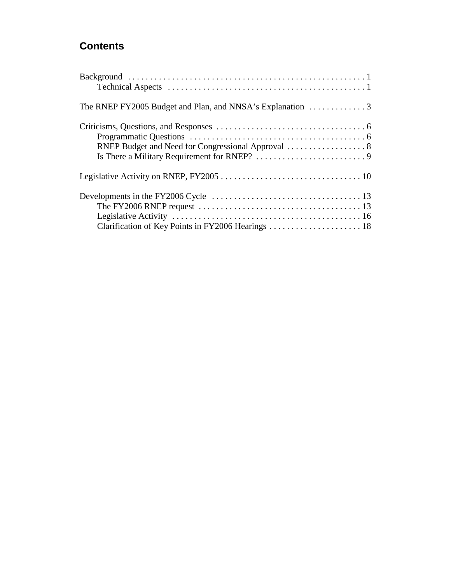## **Contents**

| The FY2006 RNEP request $\ldots \ldots \ldots \ldots \ldots \ldots \ldots \ldots \ldots \ldots \ldots \ldots$ 13 |  |
|------------------------------------------------------------------------------------------------------------------|--|
|                                                                                                                  |  |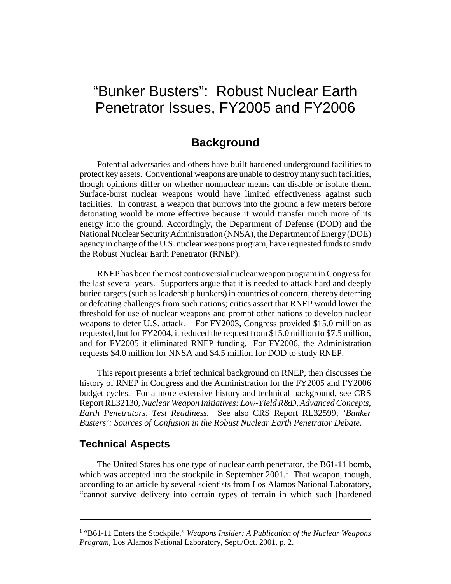## "Bunker Busters": Robust Nuclear Earth Penetrator Issues, FY2005 and FY2006

## **Background**

Potential adversaries and others have built hardened underground facilities to protect key assets. Conventional weapons are unable to destroy many such facilities, though opinions differ on whether nonnuclear means can disable or isolate them. Surface-burst nuclear weapons would have limited effectiveness against such facilities. In contrast, a weapon that burrows into the ground a few meters before detonating would be more effective because it would transfer much more of its energy into the ground. Accordingly, the Department of Defense (DOD) and the National Nuclear Security Administration (NNSA), the Department of Energy (DOE) agency in charge of the U.S. nuclear weapons program, have requested funds to study the Robust Nuclear Earth Penetrator (RNEP).

RNEP has been the most controversial nuclear weapon program in Congress for the last several years. Supporters argue that it is needed to attack hard and deeply buried targets (such as leadership bunkers) in countries of concern, thereby deterring or defeating challenges from such nations; critics assert that RNEP would lower the threshold for use of nuclear weapons and prompt other nations to develop nuclear weapons to deter U.S. attack. For FY2003, Congress provided \$15.0 million as requested, but for FY2004, it reduced the request from \$15.0 million to \$7.5 million, and for FY2005 it eliminated RNEP funding. For FY2006, the Administration requests \$4.0 million for NNSA and \$4.5 million for DOD to study RNEP.

This report presents a brief technical background on RNEP, then discusses the history of RNEP in Congress and the Administration for the FY2005 and FY2006 budget cycles. For a more extensive history and technical background, see CRS Report RL32130, *Nuclear Weapon Initiatives: Low-Yield R&D, Advanced Concepts, Earth Penetrators, Test Readiness.* See also CRS Report RL32599, *'Bunker Busters': Sources of Confusion in the Robust Nuclear Earth Penetrator Debate.*

#### **Technical Aspects**

The United States has one type of nuclear earth penetrator, the B61-11 bomb, which was accepted into the stockpile in September  $2001$ .<sup>1</sup> That weapon, though, according to an article by several scientists from Los Alamos National Laboratory, "cannot survive delivery into certain types of terrain in which such [hardened

<sup>&</sup>lt;sup>1</sup> "B61-11 Enters the Stockpile," *Weapons Insider: A Publication of the Nuclear Weapons Program,* Los Alamos National Laboratory, Sept./Oct. 2001, p. 2.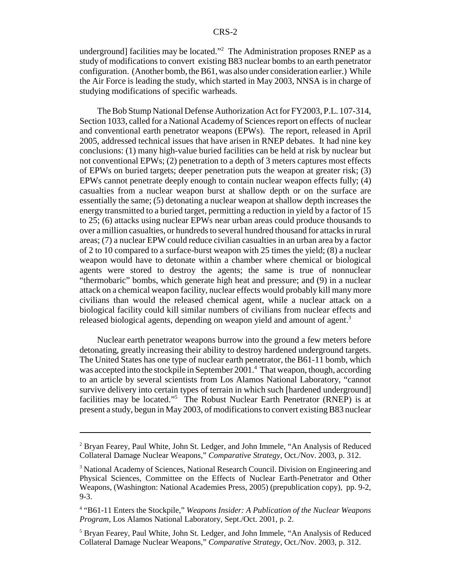underground] facilities may be located."<sup>2</sup> The Administration proposes RNEP as a study of modifications to convert existing B83 nuclear bombs to an earth penetrator configuration. (Another bomb, the B61, was also under consideration earlier.) While the Air Force is leading the study, which started in May 2003, NNSA is in charge of studying modifications of specific warheads.

The Bob Stump National Defense Authorization Act for FY2003, P.L. 107-314, Section 1033, called for a National Academy of Sciences report on effects of nuclear and conventional earth penetrator weapons (EPWs). The report, released in April 2005, addressed technical issues that have arisen in RNEP debates. It had nine key conclusions: (1) many high-value buried facilities can be held at risk by nuclear but not conventional EPWs; (2) penetration to a depth of 3 meters captures most effects of EPWs on buried targets; deeper penetration puts the weapon at greater risk; (3) EPWs cannot penetrate deeply enough to contain nuclear weapon effects fully; (4) casualties from a nuclear weapon burst at shallow depth or on the surface are essentially the same; (5) detonating a nuclear weapon at shallow depth increases the energy transmitted to a buried target, permitting a reduction in yield by a factor of 15 to 25; (6) attacks using nuclear EPWs near urban areas could produce thousands to over a million casualties, or hundreds to several hundred thousand for attacks in rural areas; (7) a nuclear EPW could reduce civilian casualties in an urban area by a factor of 2 to 10 compared to a surface-burst weapon with 25 times the yield; (8) a nuclear weapon would have to detonate within a chamber where chemical or biological agents were stored to destroy the agents; the same is true of nonnuclear "thermobaric" bombs, which generate high heat and pressure; and (9) in a nuclear attack on a chemical weapon facility, nuclear effects would probably kill many more civilians than would the released chemical agent, while a nuclear attack on a biological facility could kill similar numbers of civilians from nuclear effects and released biological agents, depending on weapon yield and amount of agent.<sup>3</sup>

Nuclear earth penetrator weapons burrow into the ground a few meters before detonating, greatly increasing their ability to destroy hardened underground targets. The United States has one type of nuclear earth penetrator, the B61-11 bomb, which was accepted into the stockpile in September 2001.<sup>4</sup> That weapon, though, according to an article by several scientists from Los Alamos National Laboratory, "cannot survive delivery into certain types of terrain in which such [hardened underground] facilities may be located."<sup>5</sup> The Robust Nuclear Earth Penetrator (RNEP) is at present a study, begun in May 2003, of modifications to convert existing B83 nuclear

<sup>&</sup>lt;sup>2</sup> Bryan Fearey, Paul White, John St. Ledger, and John Immele, "An Analysis of Reduced Collateral Damage Nuclear Weapons," *Comparative Strategy,* Oct./Nov. 2003, p. 312.

<sup>&</sup>lt;sup>3</sup> National Academy of Sciences, National Research Council. Division on Engineering and Physical Sciences, Committee on the Effects of Nuclear Earth-Penetrator and Other Weapons, (Washington: National Academies Press, 2005) (prepublication copy), pp. 9-2, 9-3.

<sup>4</sup> "B61-11 Enters the Stockpile," *Weapons Insider: A Publication of the Nuclear Weapons Program,* Los Alamos National Laboratory, Sept./Oct. 2001, p. 2.

<sup>&</sup>lt;sup>5</sup> Bryan Fearey, Paul White, John St. Ledger, and John Immele, "An Analysis of Reduced Collateral Damage Nuclear Weapons," *Comparative Strategy,* Oct./Nov. 2003, p. 312.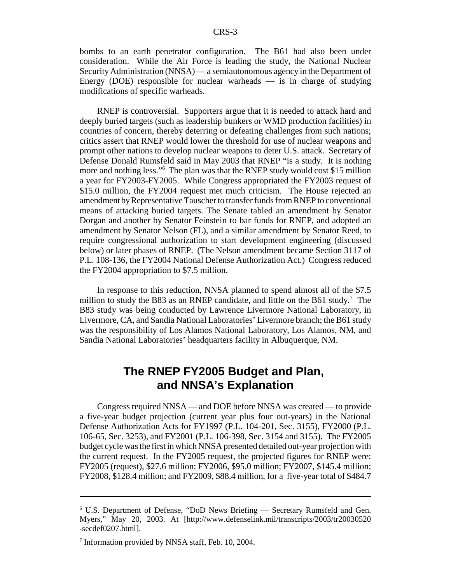bombs to an earth penetrator configuration. The B61 had also been under consideration. While the Air Force is leading the study, the National Nuclear Security Administration (NNSA) — a semiautonomous agency in the Department of Energy (DOE) responsible for nuclear warheads  $-$  is in charge of studying modifications of specific warheads.

RNEP is controversial. Supporters argue that it is needed to attack hard and deeply buried targets (such as leadership bunkers or WMD production facilities) in countries of concern, thereby deterring or defeating challenges from such nations; critics assert that RNEP would lower the threshold for use of nuclear weapons and prompt other nations to develop nuclear weapons to deter U.S. attack. Secretary of Defense Donald Rumsfeld said in May 2003 that RNEP "is a study. It is nothing more and nothing less."6 The plan was that the RNEP study would cost \$15 million a year for FY2003-FY2005. While Congress appropriated the FY2003 request of \$15.0 million, the FY2004 request met much criticism. The House rejected an amendment by Representative Tauscher to transfer funds from RNEP to conventional means of attacking buried targets. The Senate tabled an amendment by Senator Dorgan and another by Senator Feinstein to bar funds for RNEP, and adopted an amendment by Senator Nelson (FL), and a similar amendment by Senator Reed, to require congressional authorization to start development engineering (discussed below) or later phases of RNEP. (The Nelson amendment became Section 3117 of P.L. 108-136, the FY2004 National Defense Authorization Act.) Congress reduced the FY2004 appropriation to \$7.5 million.

In response to this reduction, NNSA planned to spend almost all of the \$7.5 million to study the B83 as an RNEP candidate, and little on the B61 study.<sup>7</sup> The B83 study was being conducted by Lawrence Livermore National Laboratory, in Livermore, CA, and Sandia National Laboratories' Livermore branch; the B61 study was the responsibility of Los Alamos National Laboratory, Los Alamos, NM, and Sandia National Laboratories' headquarters facility in Albuquerque, NM.

## **The RNEP FY2005 Budget and Plan, and NNSA's Explanation**

Congress required NNSA — and DOE before NNSA was created — to provide a five-year budget projection (current year plus four out-years) in the National Defense Authorization Acts for FY1997 (P.L. 104-201, Sec. 3155), FY2000 (P.L. 106-65, Sec. 3253), and FY2001 (P.L. 106-398, Sec. 3154 and 3155). The FY2005 budget cycle was the first in which NNSA presented detailed out-year projection with the current request. In the FY2005 request, the projected figures for RNEP were: FY2005 (request), \$27.6 million; FY2006, \$95.0 million; FY2007, \$145.4 million; FY2008, \$128.4 million; and FY2009, \$88.4 million, for a five-year total of \$484.7

<sup>6</sup> U.S. Department of Defense, "DoD News Briefing — Secretary Rumsfeld and Gen. Myers," May 20, 2003. At [http://www.defenselink.mil/transcripts/2003/tr20030520 -secdef0207.html].

<sup>&</sup>lt;sup>7</sup> Information provided by NNSA staff, Feb. 10, 2004.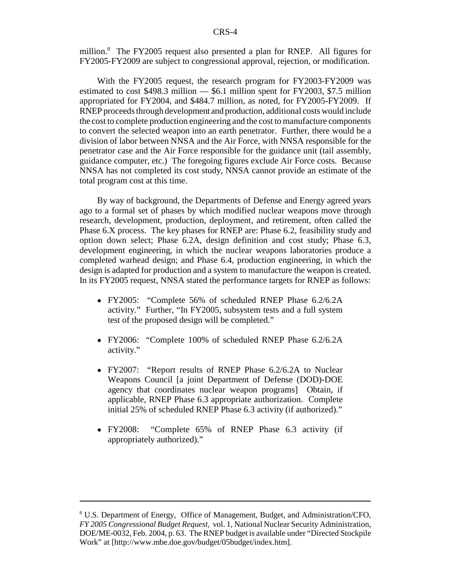million.<sup>8</sup> The FY2005 request also presented a plan for RNEP. All figures for FY2005-FY2009 are subject to congressional approval, rejection, or modification.

With the FY2005 request, the research program for FY2003-FY2009 was estimated to cost \$498.3 million — \$6.1 million spent for FY2003, \$7.5 million appropriated for FY2004, and \$484.7 million, as noted, for FY2005-FY2009. If RNEP proceeds through development and production, additional costs would include the cost to complete production engineering and the cost to manufacture components to convert the selected weapon into an earth penetrator. Further, there would be a division of labor between NNSA and the Air Force, with NNSA responsible for the penetrator case and the Air Force responsible for the guidance unit (tail assembly, guidance computer, etc.) The foregoing figures exclude Air Force costs. Because NNSA has not completed its cost study, NNSA cannot provide an estimate of the total program cost at this time.

By way of background, the Departments of Defense and Energy agreed years ago to a formal set of phases by which modified nuclear weapons move through research, development, production, deployment, and retirement, often called the Phase 6.X process. The key phases for RNEP are: Phase 6.2, feasibility study and option down select; Phase 6.2A, design definition and cost study; Phase 6.3, development engineering, in which the nuclear weapons laboratories produce a completed warhead design; and Phase 6.4, production engineering, in which the design is adapted for production and a system to manufacture the weapon is created. In its FY2005 request, NNSA stated the performance targets for RNEP as follows:

- ! FY2005: "Complete 56% of scheduled RNEP Phase 6.2/6.2A activity." Further, "In FY2005, subsystem tests and a full system test of the proposed design will be completed."
- ! FY2006: "Complete 100% of scheduled RNEP Phase 6.2/6.2A activity."
- FY2007: "Report results of RNEP Phase 6.2/6.2A to Nuclear Weapons Council [a joint Department of Defense (DOD)-DOE agency that coordinates nuclear weapon programs] Obtain, if applicable, RNEP Phase 6.3 appropriate authorization. Complete initial 25% of scheduled RNEP Phase 6.3 activity (if authorized)."
- ! FY2008: "Complete 65% of RNEP Phase 6.3 activity (if appropriately authorized)."

<sup>8</sup> U.S. Department of Energy, Office of Management, Budget, and Administration/CFO, *FY 2005 Congressional Budget Request,* vol. 1, National Nuclear Security Administration, DOE/ME-0032, Feb. 2004, p. 63. The RNEP budget is available under "Directed Stockpile Work" at [http://www.mbe.doe.gov/budget/05budget/index.htm].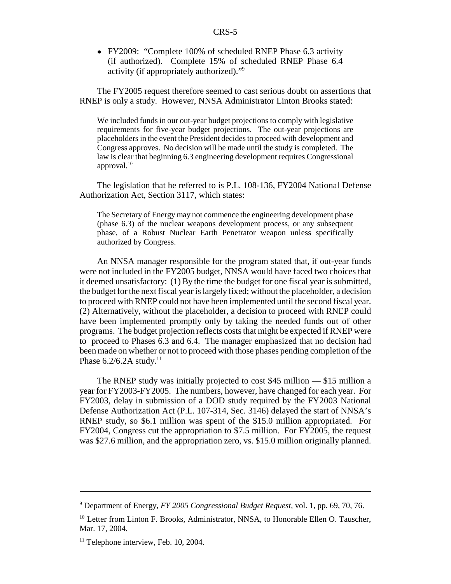! FY2009: "Complete 100% of scheduled RNEP Phase 6.3 activity (if authorized). Complete 15% of scheduled RNEP Phase 6.4 activity (if appropriately authorized)."9

The FY2005 request therefore seemed to cast serious doubt on assertions that RNEP is only a study. However, NNSA Administrator Linton Brooks stated:

We included funds in our out-year budget projections to comply with legislative requirements for five-year budget projections. The out-year projections are placeholders in the event the President decides to proceed with development and Congress approves. No decision will be made until the study is completed. The law is clear that beginning 6.3 engineering development requires Congressional approval.10

The legislation that he referred to is P.L. 108-136, FY2004 National Defense Authorization Act, Section 3117, which states:

The Secretary of Energy may not commence the engineering development phase (phase 6.3) of the nuclear weapons development process, or any subsequent phase, of a Robust Nuclear Earth Penetrator weapon unless specifically authorized by Congress.

An NNSA manager responsible for the program stated that, if out-year funds were not included in the FY2005 budget, NNSA would have faced two choices that it deemed unsatisfactory: (1) By the time the budget for one fiscal year is submitted, the budget for the next fiscal year is largely fixed; without the placeholder, a decision to proceed with RNEP could not have been implemented until the second fiscal year. (2) Alternatively, without the placeholder, a decision to proceed with RNEP could have been implemented promptly only by taking the needed funds out of other programs. The budget projection reflects costs that might be expected if RNEP were to proceed to Phases 6.3 and 6.4. The manager emphasized that no decision had been made on whether or not to proceed with those phases pending completion of the Phase  $6.2/6.2A$  study.<sup>11</sup>

The RNEP study was initially projected to cost \$45 million — \$15 million a year for FY2003-FY2005. The numbers, however, have changed for each year. For FY2003, delay in submission of a DOD study required by the FY2003 National Defense Authorization Act (P.L. 107-314, Sec. 3146) delayed the start of NNSA's RNEP study, so \$6.1 million was spent of the \$15.0 million appropriated. For FY2004, Congress cut the appropriation to \$7.5 million. For FY2005, the request was \$27.6 million, and the appropriation zero, vs. \$15.0 million originally planned.

<sup>9</sup> Department of Energy, *FY 2005 Congressional Budget Request,* vol. 1, pp. 69, 70, 76.

<sup>&</sup>lt;sup>10</sup> Letter from Linton F. Brooks, Administrator, NNSA, to Honorable Ellen O. Tauscher, Mar. 17, 2004.

 $11$  Telephone interview, Feb. 10, 2004.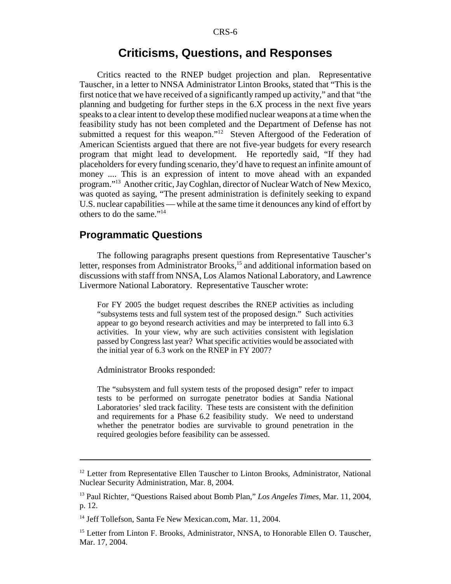#### **Criticisms, Questions, and Responses**

Critics reacted to the RNEP budget projection and plan. Representative Tauscher, in a letter to NNSA Administrator Linton Brooks, stated that "This is the first notice that we have received of a significantly ramped up activity," and that "the planning and budgeting for further steps in the 6.X process in the next five years speaks to a clear intent to develop these modified nuclear weapons at a time when the feasibility study has not been completed and the Department of Defense has not submitted a request for this weapon."<sup>12</sup> Steven Aftergood of the Federation of American Scientists argued that there are not five-year budgets for every research program that might lead to development. He reportedly said, "If they had placeholders for every funding scenario, they'd have to request an infinite amount of money .... This is an expression of intent to move ahead with an expanded program."13 Another critic, Jay Coghlan, director of Nuclear Watch of New Mexico, was quoted as saying, "The present administration is definitely seeking to expand U.S. nuclear capabilities — while at the same time it denounces any kind of effort by others to do the same."14

#### **Programmatic Questions**

The following paragraphs present questions from Representative Tauscher's letter, responses from Administrator Brooks,<sup>15</sup> and additional information based on discussions with staff from NNSA, Los Alamos National Laboratory, and Lawrence Livermore National Laboratory. Representative Tauscher wrote:

For FY 2005 the budget request describes the RNEP activities as including "subsystems tests and full system test of the proposed design." Such activities appear to go beyond research activities and may be interpreted to fall into 6.3 activities. In your view, why are such activities consistent with legislation passed by Congress last year? What specific activities would be associated with the initial year of 6.3 work on the RNEP in FY 2007?

Administrator Brooks responded:

The "subsystem and full system tests of the proposed design" refer to impact tests to be performed on surrogate penetrator bodies at Sandia National Laboratories' sled track facility. These tests are consistent with the definition and requirements for a Phase 6.2 feasibility study. We need to understand whether the penetrator bodies are survivable to ground penetration in the required geologies before feasibility can be assessed.

<sup>&</sup>lt;sup>12</sup> Letter from Representative Ellen Tauscher to Linton Brooks, Administrator, National Nuclear Security Administration, Mar. 8, 2004.

<sup>13</sup> Paul Richter, "Questions Raised about Bomb Plan," *Los Angeles Times,* Mar. 11, 2004, p. 12.

<sup>&</sup>lt;sup>14</sup> Jeff Tollefson, Santa Fe New Mexican.com, Mar. 11, 2004.

<sup>&</sup>lt;sup>15</sup> Letter from Linton F. Brooks, Administrator, NNSA, to Honorable Ellen O. Tauscher, Mar. 17, 2004.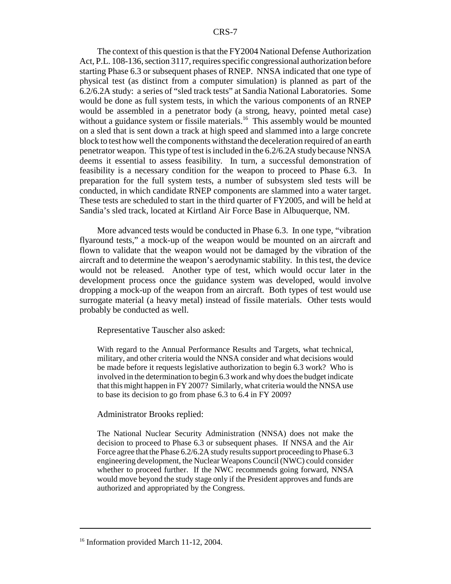The context of this question is that the FY2004 National Defense Authorization Act, P.L. 108-136, section 3117, requires specific congressional authorization before starting Phase 6.3 or subsequent phases of RNEP. NNSA indicated that one type of physical test (as distinct from a computer simulation) is planned as part of the 6.2/6.2A study: a series of "sled track tests" at Sandia National Laboratories. Some would be done as full system tests, in which the various components of an RNEP would be assembled in a penetrator body (a strong, heavy, pointed metal case) without a guidance system or fissile materials.<sup>16</sup> This assembly would be mounted on a sled that is sent down a track at high speed and slammed into a large concrete block to test how well the components withstand the deceleration required of an earth penetrator weapon. This type of test is included in the 6.2/6.2A study because NNSA deems it essential to assess feasibility. In turn, a successful demonstration of feasibility is a necessary condition for the weapon to proceed to Phase 6.3. In preparation for the full system tests, a number of subsystem sled tests will be conducted, in which candidate RNEP components are slammed into a water target. These tests are scheduled to start in the third quarter of FY2005, and will be held at Sandia's sled track, located at Kirtland Air Force Base in Albuquerque, NM.

More advanced tests would be conducted in Phase 6.3. In one type, "vibration flyaround tests," a mock-up of the weapon would be mounted on an aircraft and flown to validate that the weapon would not be damaged by the vibration of the aircraft and to determine the weapon's aerodynamic stability. In this test, the device would not be released. Another type of test, which would occur later in the development process once the guidance system was developed, would involve dropping a mock-up of the weapon from an aircraft. Both types of test would use surrogate material (a heavy metal) instead of fissile materials. Other tests would probably be conducted as well.

Representative Tauscher also asked:

With regard to the Annual Performance Results and Targets, what technical, military, and other criteria would the NNSA consider and what decisions would be made before it requests legislative authorization to begin 6.3 work? Who is involved in the determination to begin 6.3 work and why does the budget indicate that this might happen in FY 2007? Similarly, what criteria would the NNSA use to base its decision to go from phase 6.3 to 6.4 in FY 2009?

#### Administrator Brooks replied:

The National Nuclear Security Administration (NNSA) does not make the decision to proceed to Phase 6.3 or subsequent phases. If NNSA and the Air Force agree that the Phase 6.2/6.2A study results support proceeding to Phase 6.3 engineering development, the Nuclear Weapons Council (NWC) could consider whether to proceed further. If the NWC recommends going forward, NNSA would move beyond the study stage only if the President approves and funds are authorized and appropriated by the Congress.

<sup>&</sup>lt;sup>16</sup> Information provided March 11-12, 2004.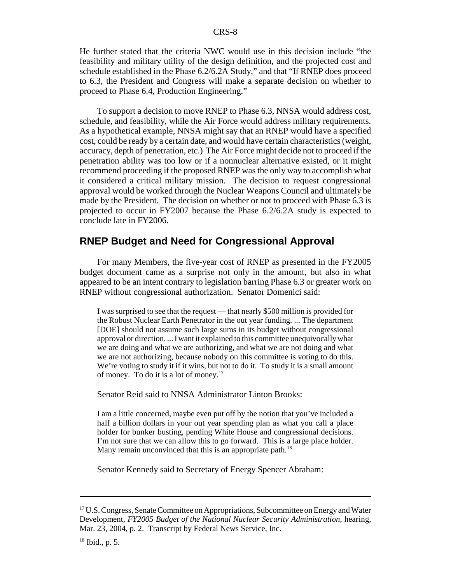He further stated that the criteria NWC would use in this decision include "the feasibility and military utility of the design definition, and the projected cost and schedule established in the Phase 6.2/6.2A Study," and that "If RNEP does proceed to 6.3, the President and Congress will make a separate decision on whether to proceed to Phase 6.4, Production Engineering."

To support a decision to move RNEP to Phase 6.3, NNSA would address cost, schedule, and feasibility, while the Air Force would address military requirements. As a hypothetical example, NNSA might say that an RNEP would have a specified cost, could be ready by a certain date, and would have certain characteristics (weight, accuracy, depth of penetration, etc.) The Air Force might decide not to proceed if the penetration ability was too low or if a nonnuclear alternative existed, or it might recommend proceeding if the proposed RNEP was the only way to accomplish what it considered a critical military mission. The decision to request congressional approval would be worked through the Nuclear Weapons Council and ultimately be made by the President. The decision on whether or not to proceed with Phase 6.3 is projected to occur in FY2007 because the Phase 6.2/6.2A study is expected to conclude late in FY2006.

#### **RNEP Budget and Need for Congressional Approval**

For many Members, the five-year cost of RNEP as presented in the FY2005 budget document came as a surprise not only in the amount, but also in what appeared to be an intent contrary to legislation barring Phase 6.3 or greater work on RNEP without congressional authorization. Senator Domenici said:

I was surprised to see that the request — that nearly \$500 million is provided for the Robust Nuclear Earth Penetrator in the out year funding. ... The department [DOE] should not assume such large sums in its budget without congressional approval or direction. ... I want it explained to this committee unequivocally what we are doing and what we are authorizing, and what we are not doing and what we are not authorizing, because nobody on this committee is voting to do this. We're voting to study it if it wins, but not to do it. To study it is a small amount of money. To do it is a lot of money.17

Senator Reid said to NNSA Administrator Linton Brooks:

I am a little concerned, maybe even put off by the notion that you've included a half a billion dollars in your out year spending plan as what you call a place holder for bunker busting, pending White House and congressional decisions. I'm not sure that we can allow this to go forward. This is a large place holder. Many remain unconvinced that this is an appropriate path.<sup>18</sup>

Senator Kennedy said to Secretary of Energy Spencer Abraham:

<sup>&</sup>lt;sup>17</sup> U.S. Congress, Senate Committee on Appropriations, Subcommittee on Energy and Water Development, *FY2005 Budget of the National Nuclear Security Administration*, hearing, Mar. 23, 2004, p. 2. Transcript by Federal News Service, Inc.

 $18$  Ibid., p. 5.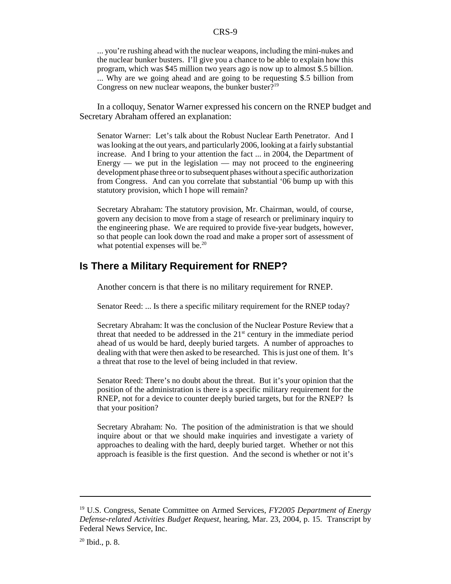... you're rushing ahead with the nuclear weapons, including the mini-nukes and the nuclear bunker busters. I'll give you a chance to be able to explain how this program, which was \$45 million two years ago is now up to almost \$.5 billion. ... Why are we going ahead and are going to be requesting \$.5 billion from Congress on new nuclear weapons, the bunker buster $?^{19}$ 

In a colloquy, Senator Warner expressed his concern on the RNEP budget and Secretary Abraham offered an explanation:

Senator Warner: Let's talk about the Robust Nuclear Earth Penetrator. And I was looking at the out years, and particularly 2006, looking at a fairly substantial increase. And I bring to your attention the fact ... in 2004, the Department of Energy — we put in the legislation — may not proceed to the engineering development phase three or to subsequent phases without a specific authorization from Congress. And can you correlate that substantial '06 bump up with this statutory provision, which I hope will remain?

Secretary Abraham: The statutory provision, Mr. Chairman, would, of course, govern any decision to move from a stage of research or preliminary inquiry to the engineering phase. We are required to provide five-year budgets, however, so that people can look down the road and make a proper sort of assessment of what potential expenses will be.<sup>20</sup>

### **Is There a Military Requirement for RNEP?**

Another concern is that there is no military requirement for RNEP.

Senator Reed: ... Is there a specific military requirement for the RNEP today?

Secretary Abraham: It was the conclusion of the Nuclear Posture Review that a threat that needed to be addressed in the  $21<sup>st</sup>$  century in the immediate period ahead of us would be hard, deeply buried targets. A number of approaches to dealing with that were then asked to be researched. This is just one of them. It's a threat that rose to the level of being included in that review.

Senator Reed: There's no doubt about the threat. But it's your opinion that the position of the administration is there is a specific military requirement for the RNEP, not for a device to counter deeply buried targets, but for the RNEP? Is that your position?

Secretary Abraham: No. The position of the administration is that we should inquire about or that we should make inquiries and investigate a variety of approaches to dealing with the hard, deeply buried target. Whether or not this approach is feasible is the first question. And the second is whether or not it's

<sup>19</sup> U.S. Congress, Senate Committee on Armed Services, *FY2005 Department of Energy Defense-related Activities Budget Request*, hearing, Mar. 23, 2004, p. 15. Transcript by Federal News Service, Inc.

 $20$  Ibid., p. 8.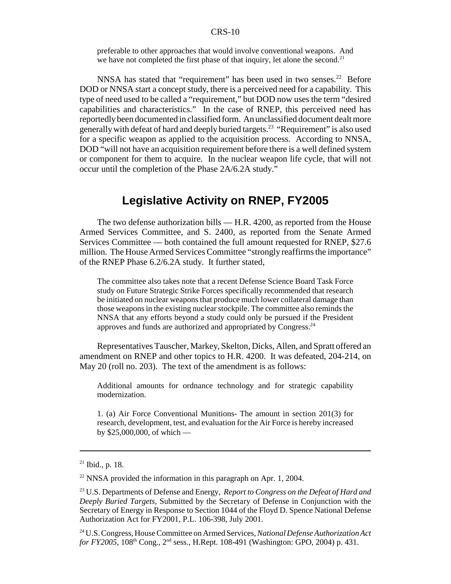preferable to other approaches that would involve conventional weapons. And we have not completed the first phase of that inquiry, let alone the second.<sup>21</sup>

NNSA has stated that "requirement" has been used in two senses.<sup>22</sup> Before DOD or NNSA start a concept study, there is a perceived need for a capability. This type of need used to be called a "requirement," but DOD now uses the term "desired capabilities and characteristics." In the case of RNEP, this perceived need has reportedly been documented in classified form. An unclassified document dealt more generally with defeat of hard and deeply buried targets.23 "Requirement" is also used for a specific weapon as applied to the acquisition process. According to NNSA, DOD "will not have an acquisition requirement before there is a well defined system or component for them to acquire. In the nuclear weapon life cycle, that will not occur until the completion of the Phase 2A/6.2A study."

## **Legislative Activity on RNEP, FY2005**

The two defense authorization bills — H.R. 4200, as reported from the House Armed Services Committee, and S. 2400, as reported from the Senate Armed Services Committee — both contained the full amount requested for RNEP, \$27.6 million. The House Armed Services Committee "strongly reaffirms the importance" of the RNEP Phase 6.2/6.2A study. It further stated,

The committee also takes note that a recent Defense Science Board Task Force study on Future Strategic Strike Forces specifically recommended that research be initiated on nuclear weapons that produce much lower collateral damage than those weapons in the existing nuclear stockpile. The committee also reminds the NNSA that any efforts beyond a study could only be pursued if the President approves and funds are authorized and appropriated by Congress.24

Representatives Tauscher, Markey, Skelton, Dicks, Allen, and Spratt offered an amendment on RNEP and other topics to H.R. 4200. It was defeated, 204-214, on May 20 (roll no. 203). The text of the amendment is as follows:

Additional amounts for ordnance technology and for strategic capability modernization.

1. (a) Air Force Conventional Munitions- The amount in section 201(3) for research, development, test, and evaluation for the Air Force is hereby increased by \$25,000,000, of which —

 $21$  Ibid., p. 18.

 $22$  NNSA provided the information in this paragraph on Apr. 1, 2004.

<sup>23</sup> U.S. Departments of Defense and Energy, *Report to Congress on the Defeat of Hard and Deeply Buried Targets,* Submitted by the Secretary of Defense in Conjunction with the Secretary of Energy in Response to Section 1044 of the Floyd D. Spence National Defense Authorization Act for FY2001, P.L. 106-398*,* July 2001.

<sup>24</sup> U.S. Congress, House Committee on Armed Services, *National Defense Authorization Act for FY2005*, 108<sup>th</sup> Cong., 2<sup>nd</sup> sess., H.Rept. 108-491 (Washington: GPO, 2004) p. 431.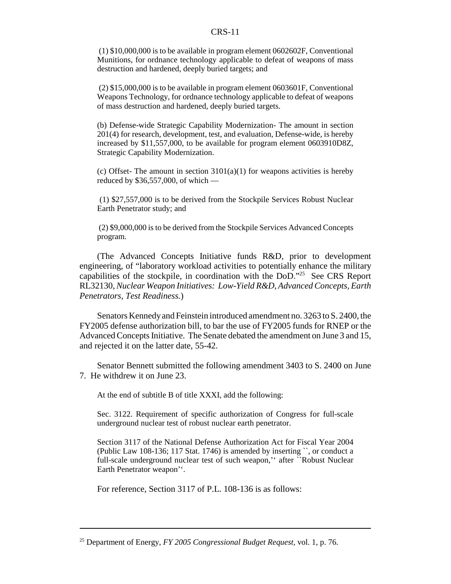(1) \$10,000,000 is to be available in program element 0602602F, Conventional Munitions, for ordnance technology applicable to defeat of weapons of mass destruction and hardened, deeply buried targets; and

 (2) \$15,000,000 is to be available in program element 0603601F, Conventional Weapons Technology, for ordnance technology applicable to defeat of weapons of mass destruction and hardened, deeply buried targets.

(b) Defense-wide Strategic Capability Modernization- The amount in section 201(4) for research, development, test, and evaluation, Defense-wide, is hereby increased by \$11,557,000, to be available for program element 0603910D8Z, Strategic Capability Modernization.

(c) Offset- The amount in section  $3101(a)(1)$  for weapons activities is hereby reduced by \$36,557,000, of which —

 (1) \$27,557,000 is to be derived from the Stockpile Services Robust Nuclear Earth Penetrator study; and

 (2) \$9,000,000 is to be derived from the Stockpile Services Advanced Concepts program.

(The Advanced Concepts Initiative funds R&D, prior to development engineering, of "laboratory workload activities to potentially enhance the military capabilities of the stockpile, in coordination with the DoD."25 See CRS Report RL32130, *Nuclear Weapon Initiatives: Low-Yield R&D, Advanced Concepts, Earth Penetrators, Test Readiness.*)

Senators Kennedy and Feinstein introduced amendment no. 3263 to S. 2400, the FY2005 defense authorization bill, to bar the use of FY2005 funds for RNEP or the Advanced Concepts Initiative. The Senate debated the amendment on June 3 and 15, and rejected it on the latter date, 55-42.

Senator Bennett submitted the following amendment 3403 to S. 2400 on June 7. He withdrew it on June 23.

At the end of subtitle B of title XXXI, add the following:

Sec. 3122. Requirement of specific authorization of Congress for full-scale underground nuclear test of robust nuclear earth penetrator.

Section 3117 of the National Defense Authorization Act for Fiscal Year 2004 (Public Law 108-136; 117 Stat. 1746) is amended by inserting ``, or conduct a full-scale underground nuclear test of such weapon,'' after ``Robust Nuclear Earth Penetrator weapon''.

For reference, Section 3117 of P.L. 108-136 is as follows:

<sup>25</sup> Department of Energy, *FY 2005 Congressional Budget Request,* vol. 1, p. 76.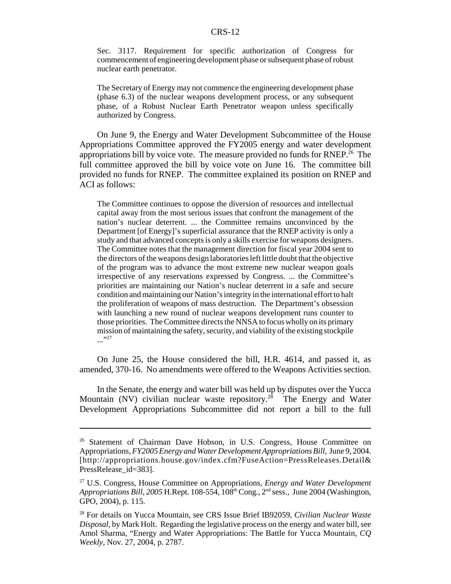Sec. 3117. Requirement for specific authorization of Congress for commencement of engineering development phase or subsequent phase of robust nuclear earth penetrator.

The Secretary of Energy may not commence the engineering development phase (phase 6.3) of the nuclear weapons development process, or any subsequent phase, of a Robust Nuclear Earth Penetrator weapon unless specifically authorized by Congress.

On June 9, the Energy and Water Development Subcommittee of the House Appropriations Committee approved the FY2005 energy and water development appropriations bill by voice vote. The measure provided no funds for RNEP.<sup> $26$ </sup> The full committee approved the bill by voice vote on June 16. The committee bill provided no funds for RNEP. The committee explained its position on RNEP and ACI as follows:

The Committee continues to oppose the diversion of resources and intellectual capital away from the most serious issues that confront the management of the nation's nuclear deterrent. ... the Committee remains unconvinced by the Department [of Energy]'s superficial assurance that the RNEP activity is only a study and that advanced concepts is only a skills exercise for weapons designers. The Committee notes that the management direction for fiscal year 2004 sent to the directors of the weapons design laboratories left little doubt that the objective of the program was to advance the most extreme new nuclear weapon goals irrespective of any reservations expressed by Congress. ... the Committee's priorities are maintaining our Nation's nuclear deterrent in a safe and secure condition and maintaining our Nation's integrity in the international effort to halt the proliferation of weapons of mass destruction. The Department's obsession with launching a new round of nuclear weapons development runs counter to those priorities. The Committee directs the NNSA to focus wholly on its primary mission of maintaining the safety, security, and viability of the existing stockpile ..."

On June 25, the House considered the bill, H.R. 4614, and passed it, as amended, 370-16. No amendments were offered to the Weapons Activities section.

In the Senate, the energy and water bill was held up by disputes over the Yucca Mountain (NV) civilian nuclear waste repository.<sup>28</sup> The Energy and Water Development Appropriations Subcommittee did not report a bill to the full

<sup>&</sup>lt;sup>26</sup> Statement of Chairman Dave Hobson, in U.S. Congress, House Committee on Appropriations, *FY2005 Energy and Water Development Appropriations Bill*, June 9, 2004. [http://appropriations.house.gov/index.cfm?FuseAction=PressReleases.Detail& PressRelease\_id=383].

<sup>27</sup> U.S. Congress, House Committee on Appropriations, *Energy and Water Development Appropriations Bill, 2005* H.Rept. 108-554, 108<sup>th</sup> Cong., 2<sup>nd</sup> sess., June 2004 (Washington, GPO, 2004), p. 115.

<sup>28</sup> For details on Yucca Mountain, see CRS Issue Brief IB92059, *Civilian Nuclear Waste Disposal*, by Mark Holt. Regarding the legislative process on the energy and water bill, see Amol Sharma, "Energy and Water Appropriations: The Battle for Yucca Mountain, *CQ Weekly,* Nov. 27, 2004, p. 2787.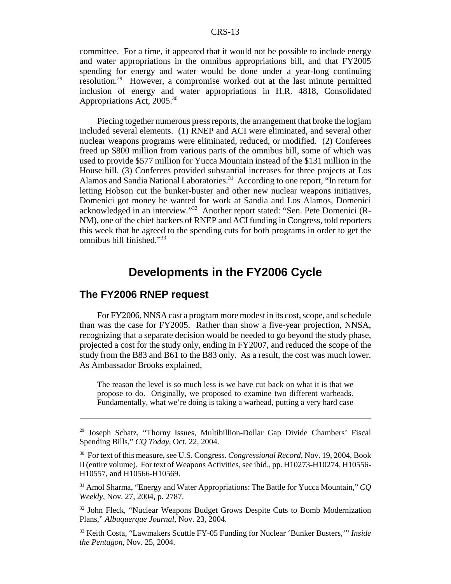committee. For a time, it appeared that it would not be possible to include energy and water appropriations in the omnibus appropriations bill, and that FY2005 spending for energy and water would be done under a year-long continuing resolution.29 However, a compromise worked out at the last minute permitted inclusion of energy and water appropriations in H.R. 4818, Consolidated Appropriations Act, 2005.30

Piecing together numerous press reports, the arrangement that broke the logjam included several elements. (1) RNEP and ACI were eliminated, and several other nuclear weapons programs were eliminated, reduced, or modified. (2) Conferees freed up \$800 million from various parts of the omnibus bill, some of which was used to provide \$577 million for Yucca Mountain instead of the \$131 million in the House bill. (3) Conferees provided substantial increases for three projects at Los Alamos and Sandia National Laboratories.<sup>31</sup> According to one report, "In return for letting Hobson cut the bunker-buster and other new nuclear weapons initiatives, Domenici got money he wanted for work at Sandia and Los Alamos, Domenici acknowledged in an interview."32 Another report stated: "Sen. Pete Domenici (R-NM), one of the chief backers of RNEP and ACI funding in Congress, told reporters this week that he agreed to the spending cuts for both programs in order to get the omnibus bill finished."33

## **Developments in the FY2006 Cycle**

#### **The FY2006 RNEP request**

For FY2006, NNSA cast a program more modest in its cost, scope, and schedule than was the case for FY2005. Rather than show a five-year projection, NNSA, recognizing that a separate decision would be needed to go beyond the study phase, projected a cost for the study only, ending in FY2007, and reduced the scope of the study from the B83 and B61 to the B83 only. As a result, the cost was much lower. As Ambassador Brooks explained,

The reason the level is so much less is we have cut back on what it is that we propose to do. Originally, we proposed to examine two different warheads. Fundamentally, what we're doing is taking a warhead, putting a very hard case

<sup>29</sup> Joseph Schatz, "Thorny Issues, Multibillion-Dollar Gap Divide Chambers' Fiscal Spending Bills," *CQ Today,* Oct. 22, 2004.

<sup>30</sup> For text of this measure, see U.S. Congress. *Congressional Record,* Nov. 19, 2004, Book II (entire volume). For text of Weapons Activities, see ibid., pp. H10273-H10274, H10556- H10557, and H10566-H10569.

<sup>31</sup> Amol Sharma, "Energy and Water Appropriations: The Battle for Yucca Mountain," *CQ Weekly,* Nov. 27, 2004, p. 2787.

<sup>&</sup>lt;sup>32</sup> John Fleck, "Nuclear Weapons Budget Grows Despite Cuts to Bomb Modernization Plans," *Albuquerque Journal,* Nov. 23, 2004.

<sup>33</sup> Keith Costa, "Lawmakers Scuttle FY-05 Funding for Nuclear 'Bunker Busters,'" *Inside the Pentagon,* Nov. 25, 2004.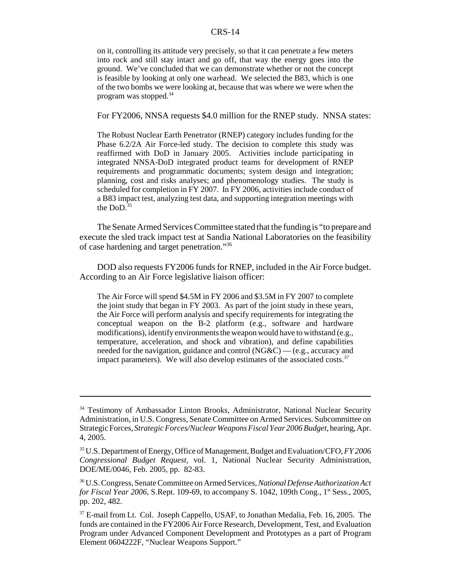on it, controlling its attitude very precisely, so that it can penetrate a few meters into rock and still stay intact and go off, that way the energy goes into the ground. We've concluded that we can demonstrate whether or not the concept is feasible by looking at only one warhead. We selected the B83, which is one of the two bombs we were looking at, because that was where we were when the program was stopped.34

For FY2006, NNSA requests \$4.0 million for the RNEP study. NNSA states:

The Robust Nuclear Earth Penetrator (RNEP) category includes funding for the Phase 6.2/2A Air Force-led study. The decision to complete this study was reaffirmed with DoD in January 2005. Activities include participating in integrated NNSA-DoD integrated product teams for development of RNEP requirements and programmatic documents; system design and integration; planning, cost and risks analyses; and phenomenology studies. The study is scheduled for completion in FY 2007. In FY 2006, activities include conduct of a B83 impact test, analyzing test data, and supporting integration meetings with the  $DoD.<sup>35</sup>$ 

The Senate Armed Services Committee stated that the funding is "to prepare and execute the sled track impact test at Sandia National Laboratories on the feasibility of case hardening and target penetration."36

DOD also requests FY2006 funds for RNEP, included in the Air Force budget. According to an Air Force legislative liaison officer:

The Air Force will spend \$4.5M in FY 2006 and \$3.5M in FY 2007 to complete the joint study that began in FY 2003. As part of the joint study in these years, the Air Force will perform analysis and specify requirements for integrating the conceptual weapon on the B-2 platform (e.g., software and hardware modifications), identify environments the weapon would have to withstand (e.g., temperature, acceleration, and shock and vibration), and define capabilities needed for the navigation, guidance and control (NG&C) — (e.g., accuracy and impact parameters). We will also develop estimates of the associated costs.<sup>37</sup>

<sup>&</sup>lt;sup>34</sup> Testimony of Ambassador Linton Brooks, Administrator, National Nuclear Security Administration, in U.S. Congress, Senate Committee on Armed Services. Subcommittee on Strategic Forces, *Strategic Forces/Nuclear Weapons Fiscal Year 2006 Budget*, hearing, Apr. 4, 2005.

<sup>35</sup> U.S. Department of Energy, Office of Management, Budget and Evaluation/CFO, *FY 2006 Congressional Budget Request,* vol. 1, National Nuclear Security Administration, DOE/ME/0046, Feb. 2005, pp. 82-83.

<sup>36</sup> U.S. Congress, Senate Committee on Armed Services, *National Defense Authorization Act for Fiscal Year 2006, S.Rept. 109-69, to accompany S. 1042, 109th Cong., 1<sup>st</sup> Sess., 2005,* pp. 202, 482.

<sup>&</sup>lt;sup>37</sup> E-mail from Lt. Col. Joseph Cappello, USAF, to Jonathan Medalia, Feb. 16, 2005. The funds are contained in the FY2006 Air Force Research, Development, Test, and Evaluation Program under Advanced Component Development and Prototypes as a part of Program Element 0604222F, "Nuclear Weapons Support."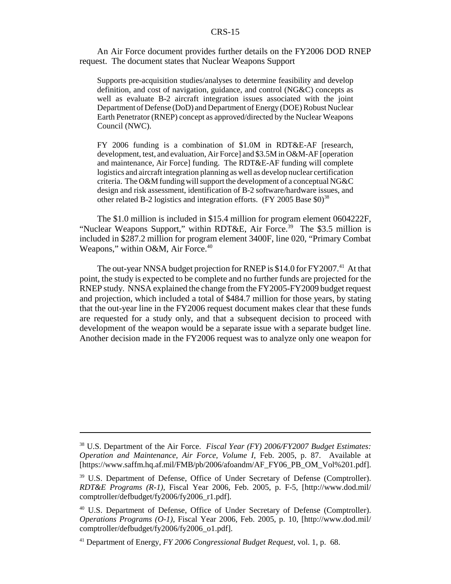An Air Force document provides further details on the FY2006 DOD RNEP request. The document states that Nuclear Weapons Support

Supports pre-acquisition studies/analyses to determine feasibility and develop definition, and cost of navigation, guidance, and control (NG&C) concepts as well as evaluate B-2 aircraft integration issues associated with the joint Department of Defense (DoD) and Department of Energy (DOE) Robust Nuclear Earth Penetrator (RNEP) concept as approved/directed by the Nuclear Weapons Council (NWC).

FY 2006 funding is a combination of \$1.0M in RDT&E-AF [research, development, test, and evaluation, Air Force] and \$3.5M in O&M-AF [operation and maintenance, Air Force] funding. The RDT&E-AF funding will complete logistics and aircraft integration planning as well as develop nuclear certification criteria. The O&M funding will support the development of a conceptual NG&C design and risk assessment, identification of B-2 software/hardware issues, and other related B-2 logistics and integration efforts.  $(FY 2005$  Base  $$0)$ <sup>38</sup>

The \$1.0 million is included in \$15.4 million for program element 0604222F, "Nuclear Weapons Support," within RDT&E, Air Force.<sup>39</sup> The \$3.5 million is included in \$287.2 million for program element 3400F, line 020, "Primary Combat Weapons," within O&M, Air Force.<sup>40</sup>

The out-year NNSA budget projection for RNEP is \$14.0 for FY2007.<sup>41</sup> At that point, the study is expected to be complete and no further funds are projected for the RNEP study. NNSA explained the change from the FY2005-FY2009 budget request and projection, which included a total of \$484.7 million for those years, by stating that the out-year line in the FY2006 request document makes clear that these funds are requested for a study only, and that a subsequent decision to proceed with development of the weapon would be a separate issue with a separate budget line. Another decision made in the FY2006 request was to analyze only one weapon for

<sup>38</sup> U.S. Department of the Air Force. *Fiscal Year (FY) 2006/FY2007 Budget Estimates: Operation and Maintenance, Air Force, Volume I*, Feb. 2005, p. 87. Available at [https://www.saffm.hq.af.mil/FMB/pb/2006/afoandm/AF\_FY06\_PB\_OM\_Vol%201.pdf].

<sup>&</sup>lt;sup>39</sup> U.S. Department of Defense, Office of Under Secretary of Defense (Comptroller). *RDT&E Programs (R-1)*, Fiscal Year 2006, Feb. 2005, p. F-5, [http://www.dod.mil/ comptroller/defbudget/fy2006/fy2006\_r1.pdf].

<sup>40</sup> U.S. Department of Defense, Office of Under Secretary of Defense (Comptroller). *Operations Programs (O-1)*, Fiscal Year 2006, Feb. 2005, p. 10, [http://www.dod.mil/ comptroller/defbudget/fy2006/fy2006\_o1.pdf].

<sup>41</sup> Department of Energy, *FY 2006 Congressional Budget Request,* vol. 1, p. 68.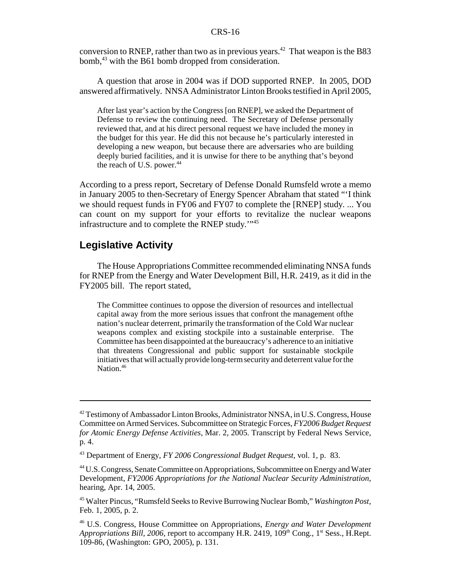conversion to RNEP, rather than two as in previous years.<sup>42</sup> That weapon is the B83 bomb,<sup>43</sup> with the B61 bomb dropped from consideration.

A question that arose in 2004 was if DOD supported RNEP. In 2005, DOD answered affirmatively. NNSA Administrator Linton Brooks testified in April 2005,

After last year's action by the Congress [on RNEP], we asked the Department of Defense to review the continuing need. The Secretary of Defense personally reviewed that, and at his direct personal request we have included the money in the budget for this year. He did this not because he's particularly interested in developing a new weapon, but because there are adversaries who are building deeply buried facilities, and it is unwise for there to be anything that's beyond the reach of U.S. power. $44$ 

According to a press report, Secretary of Defense Donald Rumsfeld wrote a memo in January 2005 to then-Secretary of Energy Spencer Abraham that stated "'I think we should request funds in FY06 and FY07 to complete the [RNEP] study. ... You can count on my support for your efforts to revitalize the nuclear weapons infrastructure and to complete the RNEP study.'"45

#### **Legislative Activity**

The House Appropriations Committee recommended eliminating NNSA funds for RNEP from the Energy and Water Development Bill, H.R. 2419, as it did in the FY2005 bill. The report stated,

The Committee continues to oppose the diversion of resources and intellectual capital away from the more serious issues that confront the management ofthe nation's nuclear deterrent, primarily the transformation of the Cold War nuclear weapons complex and existing stockpile into a sustainable enterprise. The Committee has been disappointed at the bureaucracy's adherence to an initiative that threatens Congressional and public support for sustainable stockpile initiatives that will actually provide long-term security and deterrent value for the Nation.<sup>46</sup>

<sup>&</sup>lt;sup>42</sup> Testimony of Ambassador Linton Brooks, Administrator NNSA, in U.S. Congress, House Committee on Armed Services. Subcommittee on Strategic Forces, *FY2006 Budget Request for Atomic Energy Defense Activities*, Mar. 2, 2005. Transcript by Federal News Service, p. 4.

<sup>43</sup> Department of Energy, *FY 2006 Congressional Budget Request,* vol. 1, p. 83.

<sup>44</sup> U.S. Congress, Senate Committee on Appropriations, Subcommittee on Energy and Water Development, *FY2006 Appropriations for the National Nuclear Security Administration*, hearing, Apr. 14, 2005.

<sup>45</sup> Walter Pincus, "Rumsfeld Seeks to Revive Burrowing Nuclear Bomb," *Washington Post,* Feb. 1, 2005, p. 2.

<sup>46</sup> U.S. Congress, House Committee on Appropriations, *Energy and Water Development Appropriations Bill, 2006, report to accompany H.R. 2419, 109<sup>th</sup> Cong., 1<sup>st</sup> Sess., H.Rept.* 109-86, (Washington: GPO, 2005), p. 131.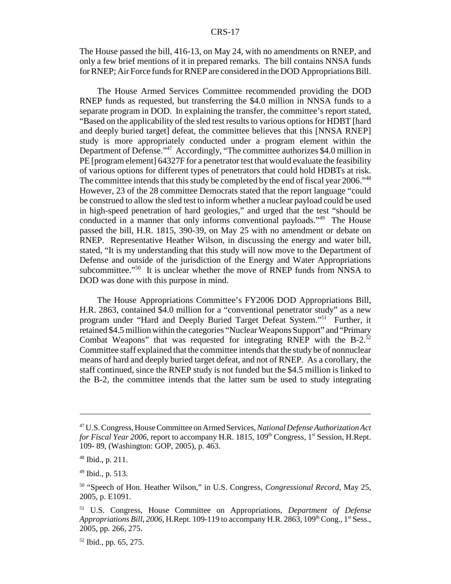The House passed the bill, 416-13, on May 24, with no amendments on RNEP, and only a few brief mentions of it in prepared remarks. The bill contains NNSA funds for RNEP; Air Force funds for RNEP are considered in the DOD Appropriations Bill.

The House Armed Services Committee recommended providing the DOD RNEP funds as requested, but transferring the \$4.0 million in NNSA funds to a separate program in DOD. In explaining the transfer, the committee's report stated, "Based on the applicability of the sled test results to various options for HDBT [hard and deeply buried target] defeat, the committee believes that this [NNSA RNEP] study is more appropriately conducted under a program element within the Department of Defense."47 Accordingly, "The committee authorizes \$4.0 million in PE [program element] 64327F for a penetrator test that would evaluate the feasibility of various options for different types of penetrators that could hold HDBTs at risk. The committee intends that this study be completed by the end of fiscal year 2006.<sup>148</sup> However, 23 of the 28 committee Democrats stated that the report language "could be construed to allow the sled test to inform whether a nuclear payload could be used in high-speed penetration of hard geologies," and urged that the test "should be conducted in a manner that only informs conventional payloads."49 The House passed the bill, H.R. 1815, 390-39, on May 25 with no amendment or debate on RNEP. Representative Heather Wilson, in discussing the energy and water bill, stated, "It is my understanding that this study will now move to the Department of Defense and outside of the jurisdiction of the Energy and Water Appropriations subcommittee."<sup>50</sup> It is unclear whether the move of RNEP funds from NNSA to DOD was done with this purpose in mind.

The House Appropriations Committee's FY2006 DOD Appropriations Bill, H.R. 2863, contained \$4.0 million for a "conventional penetrator study" as a new program under "Hard and Deeply Buried Target Defeat System."<sup>51</sup> Further, it retained \$4.5 million within the categories "Nuclear Weapons Support" and "Primary Combat Weapons" that was requested for integrating RNEP with the B-2. $52$ Committee staff explained that the committee intends that the study be of nonnuclear means of hard and deeply buried target defeat, and not of RNEP. As a corollary, the staff continued, since the RNEP study is not funded but the \$4.5 million is linked to the B-2, the committee intends that the latter sum be used to study integrating

<sup>47</sup> U.S. Congress, House Committee on Armed Services, *National Defense Authorization Act for Fiscal Year 2006*, report to accompany H.R. 1815, 109<sup>th</sup> Congress, 1<sup>st</sup> Session, H.Rept. 109- 89, (Washington: GOP, 2005), p. 463.

<sup>48</sup> Ibid., p. 211.

<sup>49</sup> Ibid., p. 513.

<sup>50 &</sup>quot;Speech of Hon. Heather Wilson," in U.S. Congress, *Congressional Record,* May 25, 2005, p. E1091.

<sup>51</sup> U.S. Congress, House Committee on Appropriations, *Department of Defense Appropriations Bill, 2006, H.Rept. 109-119 to accompany H.R. 2863, 109*<sup>th</sup> Cong.,  $1^{st}$  Sess., 2005, pp. 266, 275.

<sup>52</sup> Ibid., pp. 65, 275.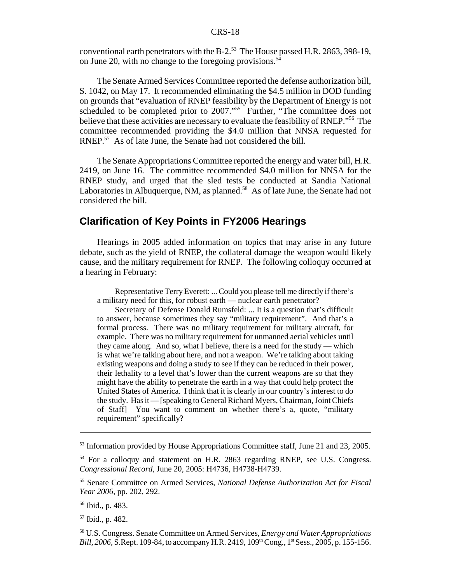conventional earth penetrators with the B-2.<sup>53</sup> The House passed H.R. 2863, 398-19, on June 20, with no change to the foregoing provisions.<sup>54</sup>

The Senate Armed Services Committee reported the defense authorization bill, S. 1042, on May 17. It recommended eliminating the \$4.5 million in DOD funding on grounds that "evaluation of RNEP feasibility by the Department of Energy is not scheduled to be completed prior to 2007."<sup>55</sup> Further, "The committee does not believe that these activities are necessary to evaluate the feasibility of RNEP."56 The committee recommended providing the \$4.0 million that NNSA requested for RNEP.<sup>57</sup> As of late June, the Senate had not considered the bill.

The Senate Appropriations Committee reported the energy and water bill, H.R. 2419, on June 16. The committee recommended \$4.0 million for NNSA for the RNEP study, and urged that the sled tests be conducted at Sandia National Laboratories in Albuquerque, NM, as planned.<sup>58</sup> As of late June, the Senate had not considered the bill.

### **Clarification of Key Points in FY2006 Hearings**

Hearings in 2005 added information on topics that may arise in any future debate, such as the yield of RNEP, the collateral damage the weapon would likely cause, and the military requirement for RNEP. The following colloquy occurred at a hearing in February:

Representative Terry Everett: ... Could you please tell me directly if there's a military need for this, for robust earth — nuclear earth penetrator?

Secretary of Defense Donald Rumsfeld: ... It is a question that's difficult to answer, because sometimes they say "military requirement". And that's a formal process. There was no military requirement for military aircraft, for example. There was no military requirement for unmanned aerial vehicles until they came along. And so, what I believe, there is a need for the study — which is what we're talking about here, and not a weapon. We're talking about taking existing weapons and doing a study to see if they can be reduced in their power, their lethality to a level that's lower than the current weapons are so that they might have the ability to penetrate the earth in a way that could help protect the United States of America. I think that it is clearly in our country's interest to do the study. Has it — [speaking to General Richard Myers, Chairman, Joint Chiefs of Staff] You want to comment on whether there's a, quote, "military requirement" specifically?

56 Ibid., p. 483.

57 Ibid., p. 482.

58 U.S. Congress. Senate Committee on Armed Services, *Energy and Water Appropriations Bill, 2006,* S.Rept. 109-84, to accompany H.R. 2419, 109<sup>th</sup> Cong., 1<sup>st</sup> Sess., 2005, p. 155-156.

<sup>&</sup>lt;sup>53</sup> Information provided by House Appropriations Committee staff, June 21 and 23, 2005.

<sup>&</sup>lt;sup>54</sup> For a colloquy and statement on H.R. 2863 regarding RNEP, see U.S. Congress. *Congressional Record,* June 20, 2005: H4736, H4738-H4739.

<sup>55</sup> Senate Committee on Armed Services, *National Defense Authorization Act for Fiscal Year 2006,* pp. 202, 292.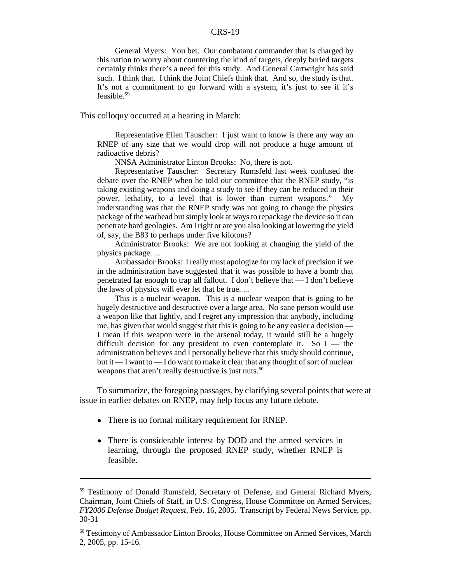General Myers: You bet. Our combatant commander that is charged by this nation to worry about countering the kind of targets, deeply buried targets certainly thinks there's a need for this study. And General Cartwright has said such. I think that. I think the Joint Chiefs think that. And so, the study is that. It's not a commitment to go forward with a system, it's just to see if it's feasible.59

This colloquy occurred at a hearing in March:

Representative Ellen Tauscher: I just want to know is there any way an RNEP of any size that we would drop will not produce a huge amount of radioactive debris?

NNSA Administrator Linton Brooks: No, there is not.

Representative Tauscher: Secretary Rumsfeld last week confused the debate over the RNEP when he told our committee that the RNEP study, "is taking existing weapons and doing a study to see if they can be reduced in their power, lethality, to a level that is lower than current weapons." My understanding was that the RNEP study was not going to change the physics package of the warhead but simply look at ways to repackage the device so it can penetrate hard geologies. Am I right or are you also looking at lowering the yield of, say, the B83 to perhaps under five kilotons?

Administrator Brooks: We are not looking at changing the yield of the physics package. ...

Ambassador Brooks: I really must apologize for my lack of precision if we in the administration have suggested that it was possible to have a bomb that penetrated far enough to trap all fallout. I don't believe that — I don't believe the laws of physics will ever let that be true. ...

This is a nuclear weapon. This is a nuclear weapon that is going to be hugely destructive and destructive over a large area. No sane person would use a weapon like that lightly, and I regret any impression that anybody, including me, has given that would suggest that this is going to be any easier a decision — I mean if this weapon were in the arsenal today, it would still be a hugely difficult decision for any president to even contemplate it. So  $I$  — the administration believes and I personally believe that this study should continue, but it — I want to — I do want to make it clear that any thought of sort of nuclear weapons that aren't really destructive is just nuts.<sup>60</sup>

To summarize, the foregoing passages, by clarifying several points that were at issue in earlier debates on RNEP, may help focus any future debate.

- There is no formal military requirement for RNEP.
- There is considerable interest by DOD and the armed services in learning, through the proposed RNEP study, whether RNEP is feasible.

<sup>59</sup> Testimony of Donald Rumsfeld, Secretary of Defense, and General Richard Myers, Chairman, Joint Chiefs of Staff, in U.S. Congress, House Committee on Armed Services, *FY2006 Defense Budget Request*, Feb. 16, 2005. Transcript by Federal News Service, pp. 30-31

<sup>&</sup>lt;sup>60</sup> Testimony of Ambassador Linton Brooks, House Committee on Armed Services, March 2, 2005, pp. 15-16.